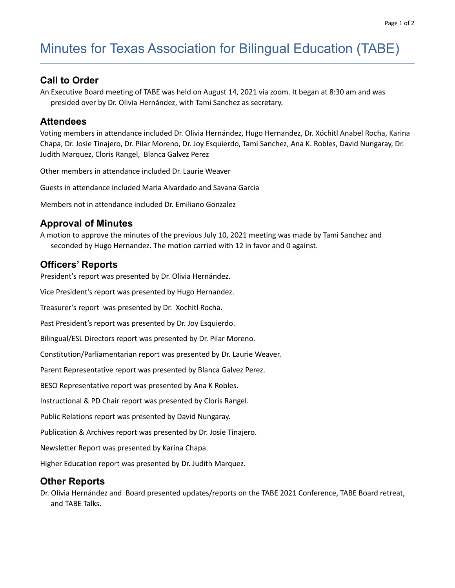# Minutes for Texas Association for Bilingual Education (TABE)

# **Call to Order**

An Executive Board meeting of TABE was held on August 14, 2021 via zoom. It began at 8:30 am and was presided over by Dr. Olivia Hernández, with Tami Sanchez as secretary.

## **Attendees**

Voting members in attendance included Dr. Olivia Hernández, Hugo Hernandez, Dr. Xóchitl Anabel Rocha, Karina Chapa, Dr. Josie Tinajero, Dr. Pilar Moreno, Dr. Joy Esquierdo, Tami Sanchez, Ana K. Robles, David Nungaray, Dr. Judith Marquez, Cloris Rangel, Blanca Galvez Perez

Other members in attendance included Dr. Laurie Weaver

Guests in attendance included Maria Alvardado and Savana Garcia

Members not in attendance included Dr. Emiliano Gonzalez

## **Approval of Minutes**

A motion to approve the minutes of the previous July 10, 2021 meeting was made by Tami Sanchez and seconded by Hugo Hernandez. The motion carried with 12 in favor and 0 against.

#### **Officers' Reports**

President's report was presented by Dr. Olivia Hernández.

Vice President's report was presented by Hugo Hernandez.

Treasurer's report was presented by Dr. Xochitl Rocha.

Past President's report was presented by Dr. Joy Esquierdo.

Bilingual/ESL Directors report was presented by Dr. Pilar Moreno.

Constitution/Parliamentarian report was presented by Dr. Laurie Weaver.

Parent Representative report was presented by Blanca Galvez Perez.

BESO Representative report was presented by Ana K Robles.

Instructional & PD Chair report was presented by Cloris Rangel.

Public Relations report was presented by David Nungaray.

Publication & Archives report was presented by Dr. Josie Tinajero.

Newsletter Report was presented by Karina Chapa.

Higher Education report was presented by Dr. Judith Marquez.

#### **Other Reports**

Dr. Olivia Hernández and Board presented updates/reports on the TABE 2021 Conference, TABE Board retreat, and TABE Talks.